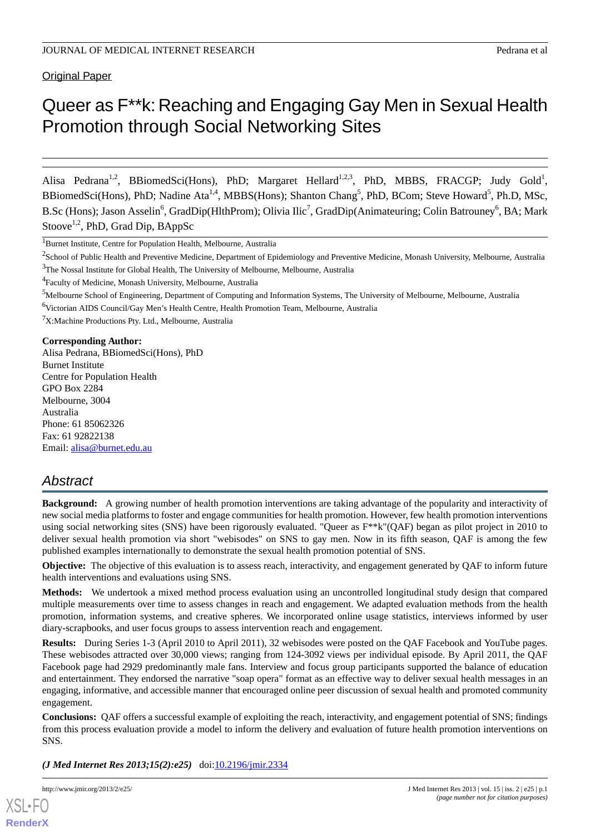# Queer as F\*\*k: Reaching and Engaging Gay Men in Sexual Health Promotion through Social Networking Sites

Alisa Pedrana<sup>1,2</sup>, BBiomedSci(Hons), PhD; Margaret Hellard<sup>1,2,3</sup>, PhD, MBBS, FRACGP; Judy Gold<sup>1</sup>, BBiomedSci(Hons), PhD; Nadine Ata<sup>1,4</sup>, MBBS(Hons); Shanton Chang<sup>5</sup>, PhD, BCom; Steve Howard<sup>5</sup>, Ph.D, MSc, B.Sc (Hons); Jason Asselin<sup>6</sup>, GradDip(HlthProm); Olivia Ilic<sup>7</sup>, GradDip(Animateuring; Colin Batrouney<sup>6</sup>, BA; Mark Stoove<sup>1,2</sup>, PhD, Grad Dip, BAppSc

<sup>1</sup>Burnet Institute, Centre for Population Health, Melbourne, Australia

<sup>7</sup>X:Machine Productions Pty. Ltd., Melbourne, Australia

#### **Corresponding Author:**

Alisa Pedrana, BBiomedSci(Hons), PhD Burnet Institute Centre for Population Health GPO Box 2284 Melbourne, 3004 Australia Phone: 61 85062326 Fax: 61 92822138 Email: [alisa@burnet.edu.au](mailto:alisa@burnet.edu.au)

# *Abstract*

**Background:** A growing number of health promotion interventions are taking advantage of the popularity and interactivity of new social media platforms to foster and engage communities for health promotion. However, few health promotion interventions using social networking sites (SNS) have been rigorously evaluated. "Queer as F\*\*k"(QAF) began as pilot project in 2010 to deliver sexual health promotion via short "webisodes" on SNS to gay men. Now in its fifth season, QAF is among the few published examples internationally to demonstrate the sexual health promotion potential of SNS.

**Objective:** The objective of this evaluation is to assess reach, interactivity, and engagement generated by QAF to inform future health interventions and evaluations using SNS.

**Methods:** We undertook a mixed method process evaluation using an uncontrolled longitudinal study design that compared multiple measurements over time to assess changes in reach and engagement. We adapted evaluation methods from the health promotion, information systems, and creative spheres. We incorporated online usage statistics, interviews informed by user diary-scrapbooks, and user focus groups to assess intervention reach and engagement.

**Results:** During Series 1-3 (April 2010 to April 2011), 32 webisodes were posted on the QAF Facebook and YouTube pages. These webisodes attracted over 30,000 views; ranging from 124-3092 views per individual episode. By April 2011, the QAF Facebook page had 2929 predominantly male fans. Interview and focus group participants supported the balance of education and entertainment. They endorsed the narrative "soap opera" format as an effective way to deliver sexual health messages in an engaging, informative, and accessible manner that encouraged online peer discussion of sexual health and promoted community engagement.

**Conclusions:** QAF offers a successful example of exploiting the reach, interactivity, and engagement potential of SNS; findings from this process evaluation provide a model to inform the delivery and evaluation of future health promotion interventions on SNS.

*(J Med Internet Res 2013;15(2):e25)*  doi:[10.2196/jmir.2334](http://dx.doi.org/10.2196/jmir.2334)

 $^2$ School of Public Health and Preventive Medicine, Department of Epidemiology and Preventive Medicine, Monash University, Melbourne, Australia <sup>3</sup>The Nossal Institute for Global Health, The University of Melbourne, Melbourne, Australia

<sup>4</sup> Faculty of Medicine, Monash University, Melbourne, Australia

<sup>&</sup>lt;sup>5</sup>Melbourne School of Engineering, Department of Computing and Information Systems, The University of Melbourne, Melbourne, Australia <sup>6</sup>Victorian AIDS Council/Gay Men's Health Centre, Health Promotion Team, Melbourne, Australia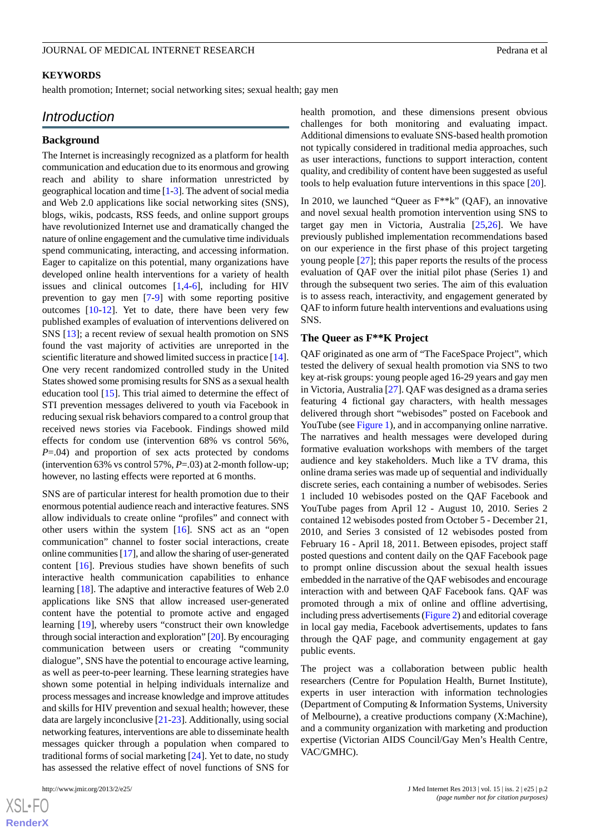#### **KEYWORDS**

health promotion; Internet; social networking sites; sexual health; gay men

## *Introduction*

## **Background**

The Internet is increasingly recognized as a platform for health communication and education due to its enormous and growing reach and ability to share information unrestricted by geographical location and time [\[1](#page-12-0)[-3](#page-12-1)]. The advent of social media and Web 2.0 applications like social networking sites (SNS), blogs, wikis, podcasts, RSS feeds, and online support groups have revolutionized Internet use and dramatically changed the nature of online engagement and the cumulative time individuals spend communicating, interacting, and accessing information. Eager to capitalize on this potential, many organizations have developed online health interventions for a variety of health issues and clinical outcomes [\[1](#page-12-0),[4-](#page-12-2)[6\]](#page-12-3), including for HIV prevention to gay men [[7](#page-12-4)[-9](#page-12-5)] with some reporting positive outcomes [[10-](#page-13-0)[12\]](#page-13-1). Yet to date, there have been very few published examples of evaluation of interventions delivered on SNS [[13\]](#page-13-2); a recent review of sexual health promotion on SNS found the vast majority of activities are unreported in the scientific literature and showed limited success in practice [[14\]](#page-13-3). One very recent randomized controlled study in the United States showed some promising results for SNS as a sexual health education tool [[15\]](#page-13-4). This trial aimed to determine the effect of STI prevention messages delivered to youth via Facebook in reducing sexual risk behaviors compared to a control group that received news stories via Facebook. Findings showed mild effects for condom use (intervention 68% vs control 56%, *P*=.04) and proportion of sex acts protected by condoms (intervention 63% vs control 57%, *P*=.03) at 2-month follow-up; however, no lasting effects were reported at 6 months.

SNS are of particular interest for health promotion due to their enormous potential audience reach and interactive features. SNS allow individuals to create online "profiles" and connect with other users within the system [\[16](#page-13-5)]. SNS act as an "open communication" channel to foster social interactions, create online communities [\[17\]](#page-13-6), and allow the sharing of user-generated content [[16\]](#page-13-5). Previous studies have shown benefits of such interactive health communication capabilities to enhance learning [[18\]](#page-13-7). The adaptive and interactive features of Web 2.0 applications like SNS that allow increased user-generated content have the potential to promote active and engaged learning [[19\]](#page-13-8), whereby users "construct their own knowledge through social interaction and exploration" [[20](#page-13-9)]. By encouraging communication between users or creating "community dialogue", SNS have the potential to encourage active learning, as well as peer-to-peer learning. These learning strategies have shown some potential in helping individuals internalize and process messages and increase knowledge and improve attitudes and skills for HIV prevention and sexual health; however, these data are largely inconclusive [[21-](#page-13-10)[23](#page-13-11)]. Additionally, using social networking features, interventions are able to disseminate health messages quicker through a population when compared to traditional forms of social marketing [\[24](#page-13-12)]. Yet to date, no study has assessed the relative effect of novel functions of SNS for

 $XS$ -FO **[RenderX](http://www.renderx.com/)** health promotion, and these dimensions present obvious challenges for both monitoring and evaluating impact. Additional dimensions to evaluate SNS-based health promotion not typically considered in traditional media approaches, such as user interactions, functions to support interaction, content quality, and credibility of content have been suggested as useful tools to help evaluation future interventions in this space [[20\]](#page-13-9).

In 2010, we launched "Queer as F\*\*k" (QAF), an innovative and novel sexual health promotion intervention using SNS to target gay men in Victoria, Australia [[25,](#page-13-13)[26](#page-13-14)]. We have previously published implementation recommendations based on our experience in the first phase of this project targeting young people [[27\]](#page-13-15); this paper reports the results of the process evaluation of QAF over the initial pilot phase (Series 1) and through the subsequent two series. The aim of this evaluation is to assess reach, interactivity, and engagement generated by QAF to inform future health interventions and evaluations using SNS.

#### **The Queer as F\*\*K Project**

QAF originated as one arm of "The FaceSpace Project", which tested the delivery of sexual health promotion via SNS to two key at-risk groups: young people aged 16-29 years and gay men in Victoria, Australia [[27\]](#page-13-15). QAF was designed as a drama series featuring 4 fictional gay characters, with health messages delivered through short "webisodes" posted on Facebook and YouTube (see Figure 1), and in accompanying online narrative. The narratives and health messages were developed during formative evaluation workshops with members of the target audience and key stakeholders. Much like a TV drama, this online drama series was made up of sequential and individually discrete series, each containing a number of webisodes. Series 1 included 10 webisodes posted on the QAF Facebook and YouTube pages from April 12 - August 10, 2010. Series 2 contained 12 webisodes posted from October 5 - December 21, 2010, and Series 3 consisted of 12 webisodes posted from February 16 - April 18, 2011. Between episodes, project staff posted questions and content daily on the QAF Facebook page to prompt online discussion about the sexual health issues embedded in the narrative of the QAF webisodes and encourage interaction with and between QAF Facebook fans. QAF was promoted through a mix of online and offline advertising, including press advertisements (Figure 2) and editorial coverage in local gay media, Facebook advertisements, updates to fans through the QAF page, and community engagement at gay public events.

The project was a collaboration between public health researchers (Centre for Population Health, Burnet Institute), experts in user interaction with information technologies (Department of Computing & Information Systems, University of Melbourne), a creative productions company (X:Machine), and a community organization with marketing and production expertise (Victorian AIDS Council/Gay Men's Health Centre, VAC/GMHC).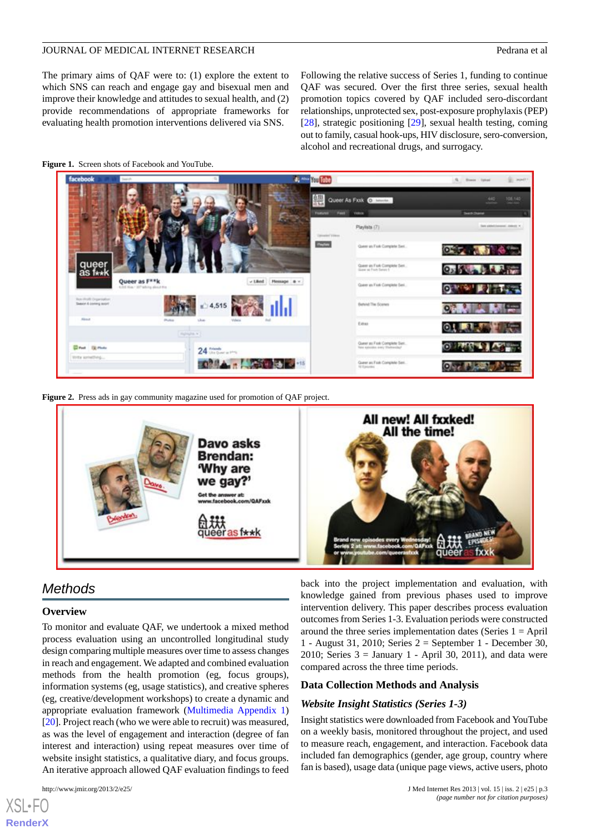The primary aims of QAF were to: (1) explore the extent to which SNS can reach and engage gay and bisexual men and improve their knowledge and attitudes to sexual health, and (2) provide recommendations of appropriate frameworks for evaluating health promotion interventions delivered via SNS.

Following the relative success of Series 1, funding to continue QAF was secured. Over the first three series, sexual health promotion topics covered by QAF included sero-discordant relationships, unprotected sex, post-exposure prophylaxis (PEP) [[28\]](#page-13-16), strategic positioning [[29\]](#page-13-17), sexual health testing, coming out to family, casual hook-ups, HIV disclosure, sero-conversion, alcohol and recreational drugs, and surrogacy.



#### **Figure 1.** Screen shots of Facebook and YouTube.

**Figure 2.** Press ads in gay community magazine used for promotion of QAF project.



# *Methods*

#### **Overview**

To monitor and evaluate QAF, we undertook a mixed method process evaluation using an uncontrolled longitudinal study design comparing multiple measures over time to assess changes in reach and engagement. We adapted and combined evaluation methods from the health promotion (eg, focus groups), information systems (eg, usage statistics), and creative spheres (eg, creative/development workshops) to create a dynamic and appropriate evaluation framework (Multimedia Appendix 1) [[20\]](#page-13-9). Project reach (who we were able to recruit) was measured, as was the level of engagement and interaction (degree of fan interest and interaction) using repeat measures over time of website insight statistics, a qualitative diary, and focus groups. An iterative approach allowed QAF evaluation findings to feed

[XSL](http://www.w3.org/Style/XSL)•FO **[RenderX](http://www.renderx.com/)**

back into the project implementation and evaluation, with knowledge gained from previous phases used to improve intervention delivery. This paper describes process evaluation outcomes from Series 1-3. Evaluation periods were constructed around the three series implementation dates (Series  $1 =$  April 1 - August 31, 2010; Series 2 = September 1 - December 30, 2010; Series  $3 =$  January 1 - April 30, 2011), and data were compared across the three time periods.

#### **Data Collection Methods and Analysis**

## *Website Insight Statistics (Series 1-3)*

Insight statistics were downloaded from Facebook and YouTube on a weekly basis, monitored throughout the project, and used to measure reach, engagement, and interaction. Facebook data included fan demographics (gender, age group, country where fan is based), usage data (unique page views, active users, photo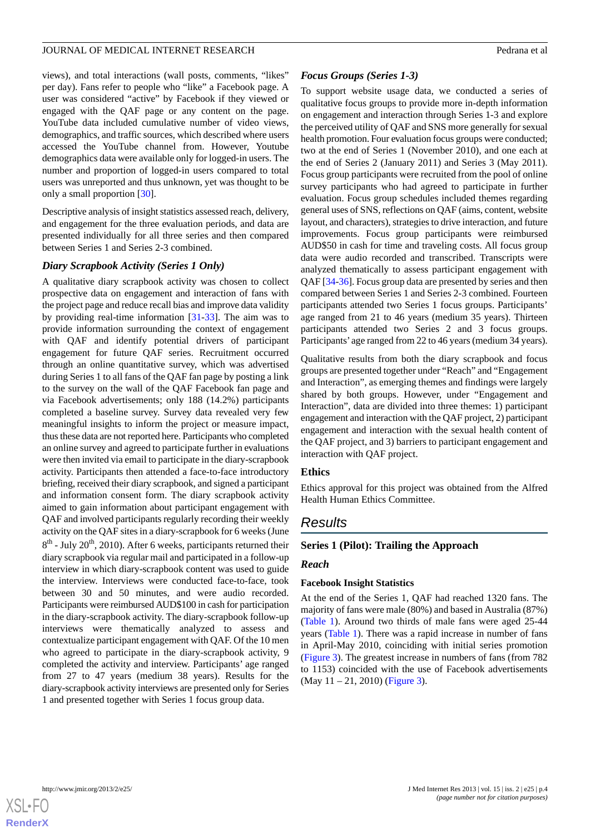views), and total interactions (wall posts, comments, "likes" per day). Fans refer to people who "like" a Facebook page. A user was considered "active" by Facebook if they viewed or engaged with the QAF page or any content on the page. YouTube data included cumulative number of video views, demographics, and traffic sources, which described where users accessed the YouTube channel from. However, Youtube demographics data were available only for logged-in users. The number and proportion of logged-in users compared to total users was unreported and thus unknown, yet was thought to be only a small proportion [[30\]](#page-13-18).

Descriptive analysis of insight statistics assessed reach, delivery, and engagement for the three evaluation periods, and data are presented individually for all three series and then compared between Series 1 and Series 2-3 combined.

#### *Diary Scrapbook Activity (Series 1 Only)*

A qualitative diary scrapbook activity was chosen to collect prospective data on engagement and interaction of fans with the project page and reduce recall bias and improve data validity by providing real-time information [\[31](#page-13-19)-[33\]](#page-14-0). The aim was to provide information surrounding the context of engagement with QAF and identify potential drivers of participant engagement for future QAF series. Recruitment occurred through an online quantitative survey, which was advertised during Series 1 to all fans of the QAF fan page by posting a link to the survey on the wall of the QAF Facebook fan page and via Facebook advertisements; only 188 (14.2%) participants completed a baseline survey. Survey data revealed very few meaningful insights to inform the project or measure impact, thus these data are not reported here. Participants who completed an online survey and agreed to participate further in evaluations were then invited via email to participate in the diary-scrapbook activity. Participants then attended a face-to-face introductory briefing, received their diary scrapbook, and signed a participant and information consent form. The diary scrapbook activity aimed to gain information about participant engagement with QAF and involved participants regularly recording their weekly activity on the QAF sites in a diary-scrapbook for 6 weeks (June  $8<sup>th</sup>$  - July 20<sup>th</sup>, 2010). After 6 weeks, participants returned their diary scrapbook via regular mail and participated in a follow-up interview in which diary-scrapbook content was used to guide the interview. Interviews were conducted face-to-face, took between 30 and 50 minutes, and were audio recorded. Participants were reimbursed AUD\$100 in cash for participation in the diary-scrapbook activity. The diary-scrapbook follow-up interviews were thematically analyzed to assess and contextualize participant engagement with QAF. Of the 10 men who agreed to participate in the diary-scrapbook activity, 9 completed the activity and interview. Participants' age ranged from 27 to 47 years (medium 38 years). Results for the diary-scrapbook activity interviews are presented only for Series 1 and presented together with Series 1 focus group data.

#### *Focus Groups (Series 1-3)*

To support website usage data, we conducted a series of qualitative focus groups to provide more in-depth information on engagement and interaction through Series 1-3 and explore the perceived utility of QAF and SNS more generally for sexual health promotion. Four evaluation focus groups were conducted; two at the end of Series 1 (November 2010), and one each at the end of Series 2 (January 2011) and Series 3 (May 2011). Focus group participants were recruited from the pool of online survey participants who had agreed to participate in further evaluation. Focus group schedules included themes regarding general uses of SNS, reflections on QAF (aims, content, website layout, and characters), strategies to drive interaction, and future improvements. Focus group participants were reimbursed AUD\$50 in cash for time and traveling costs. All focus group data were audio recorded and transcribed. Transcripts were analyzed thematically to assess participant engagement with QAF [[34-](#page-14-1)[36\]](#page-14-2). Focus group data are presented by series and then compared between Series 1 and Series 2-3 combined. Fourteen participants attended two Series 1 focus groups. Participants' age ranged from 21 to 46 years (medium 35 years). Thirteen participants attended two Series 2 and 3 focus groups. Participants' age ranged from 22 to 46 years (medium 34 years).

Qualitative results from both the diary scrapbook and focus groups are presented together under "Reach" and "Engagement and Interaction", as emerging themes and findings were largely shared by both groups. However, under "Engagement and Interaction", data are divided into three themes: 1) participant engagement and interaction with the QAF project, 2) participant engagement and interaction with the sexual health content of the QAF project, and 3) barriers to participant engagement and interaction with QAF project.

## **Ethics**

Ethics approval for this project was obtained from the Alfred Health Human Ethics Committee.

## *Results*

#### **Series 1 (Pilot): Trailing the Approach**

#### *Reach*

#### **Facebook Insight Statistics**

At the end of the Series 1, QAF had reached 1320 fans. The majority of fans were male (80%) and based in Australia (87%) (Table 1). Around two thirds of male fans were aged 25-44 years (Table 1). There was a rapid increase in number of fans in April-May 2010, coinciding with initial series promotion (Figure 3). The greatest increase in numbers of fans (from 782 to 1153) coincided with the use of Facebook advertisements (May 11 – 21, 2010) (Figure 3).

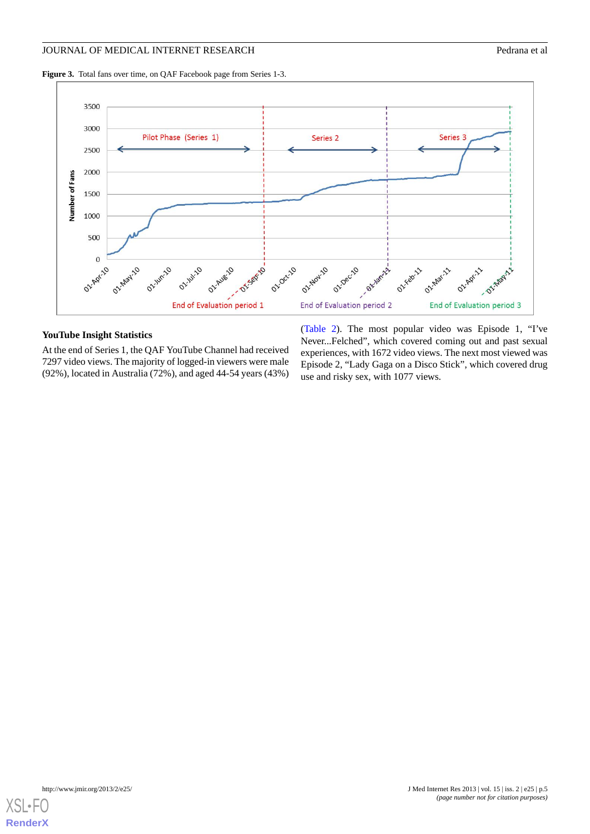#### JOURNAL OF MEDICAL INTERNET RESEARCH **Pedrana et al.** Pedrana et al.

**Figure 3.** Total fans over time, on QAF Facebook page from Series 1-3.



## **YouTube Insight Statistics**

At the end of Series 1, the QAF YouTube Channel had received 7297 video views. The majority of logged-in viewers were male (92%), located in Australia (72%), and aged 44-54 years (43%)

(Table 2). The most popular video was Episode 1, "I've Never...Felched", which covered coming out and past sexual experiences, with 1672 video views. The next most viewed was Episode 2, "Lady Gaga on a Disco Stick", which covered drug use and risky sex, with 1077 views.

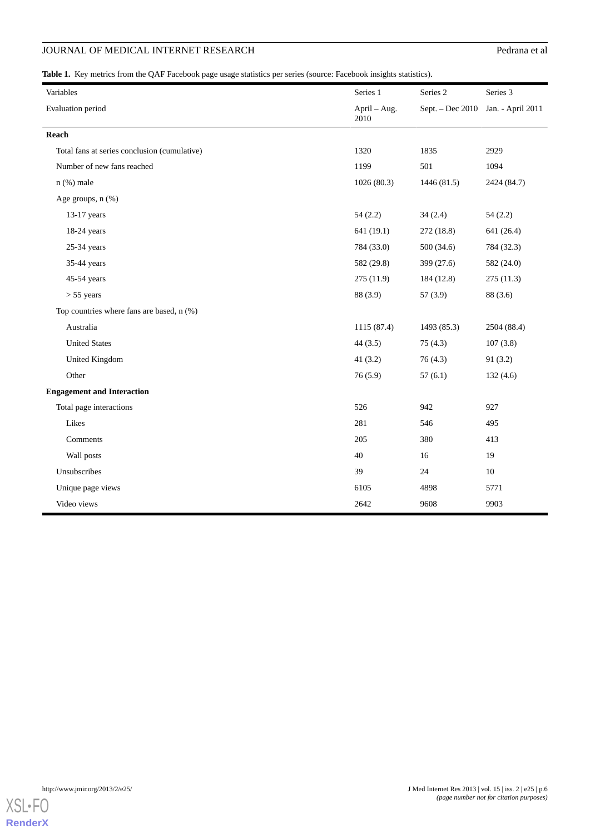# **JOURNAL OF MEDICAL INTERNET RESEARCH** Pedrana et al

**Table 1.** Key metrics from the QAF Facebook page usage statistics per series (source: Facebook insights statistics).

| Variables                                    | Series 1             | Series 2         | Series 3          |  |
|----------------------------------------------|----------------------|------------------|-------------------|--|
| Evaluation period                            | April - Aug.<br>2010 | Sept. - Dec 2010 | Jan. - April 2011 |  |
| Reach                                        |                      |                  |                   |  |
| Total fans at series conclusion (cumulative) | 1320                 | 1835             | 2929              |  |
| Number of new fans reached                   | 1199                 | 501              | 1094              |  |
| $n$ (%) male                                 | 1026(80.3)           | 1446 (81.5)      | 2424 (84.7)       |  |
| Age groups, n (%)                            |                      |                  |                   |  |
| $13-17$ years                                | 54(2.2)              | 34(2.4)          | 54(2.2)           |  |
| $18-24$ years                                | 641 (19.1)           | 272(18.8)        | 641 (26.4)        |  |
| 25-34 years                                  | 784 (33.0)           | 500 (34.6)       | 784 (32.3)        |  |
| 35-44 years                                  | 582 (29.8)           | 399 (27.6)       | 582 (24.0)        |  |
| 45-54 years                                  | 275 (11.9)           | 184 (12.8)       | 275(11.3)         |  |
| $> 55$ years                                 | 88 (3.9)             | 57(3.9)          | 88 (3.6)          |  |
| Top countries where fans are based, n (%)    |                      |                  |                   |  |
| Australia                                    | 1115 (87.4)          | 1493 (85.3)      | 2504 (88.4)       |  |
| <b>United States</b>                         | 44(3.5)              | 75(4.3)          | 107(3.8)          |  |
| <b>United Kingdom</b>                        | 41 $(3.2)$           | 76(4.3)          | 91(3.2)           |  |
| Other                                        | 76(5.9)              | 57(6.1)          | 132(4.6)          |  |
| <b>Engagement and Interaction</b>            |                      |                  |                   |  |
| Total page interactions                      | 526                  | 942              | 927               |  |
| Likes                                        | 281                  | 546              | 495               |  |
| Comments                                     | 205                  | 380              | 413               |  |
| Wall posts                                   | 40                   | 16               | 19                |  |
| Unsubscribes                                 | 39                   | 24               | 10                |  |
| Unique page views                            | 6105                 | 4898             | 5771              |  |
| Video views                                  | 2642                 | 9608             | 9903              |  |

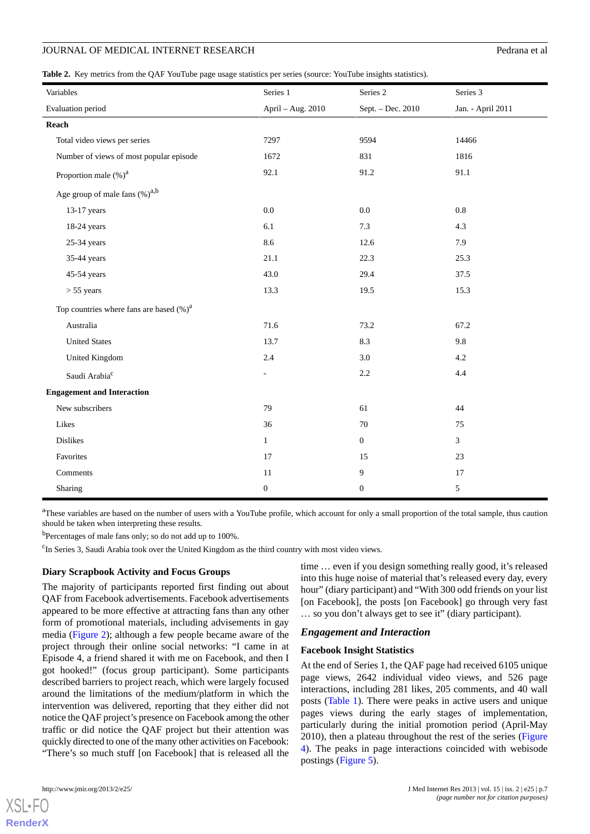|  |  |  |  |  |  | <b>Table 2.</b> Key metrics from the QAF YouTube page usage statistics per series (source: YouTube insights statistics). |
|--|--|--|--|--|--|--------------------------------------------------------------------------------------------------------------------------|
|--|--|--|--|--|--|--------------------------------------------------------------------------------------------------------------------------|

| Variables                                   | Series 1                 | Series 2          | Series 3          |
|---------------------------------------------|--------------------------|-------------------|-------------------|
| Evaluation period                           | April - Aug. 2010        | Sept. - Dec. 2010 | Jan. - April 2011 |
| Reach                                       |                          |                   |                   |
| Total video views per series                | 7297                     | 9594              | 14466             |
| Number of views of most popular episode     | 1672                     | 831               | 1816              |
| Proportion male (%) <sup>a</sup>            | 92.1                     | 91.2              | 91.1              |
| Age group of male fans $(\%)^{a,b}$         |                          |                   |                   |
| 13-17 years                                 | 0.0                      | 0.0               | 0.8               |
| 18-24 years                                 | $6.1\,$                  | 7.3               | 4.3               |
| $25-34$ years                               | 8.6                      | 12.6              | 7.9               |
| 35-44 years                                 | 21.1                     | 22.3              | 25.3              |
| 45-54 years                                 | 43.0                     | 29.4              | 37.5              |
| $> 55$ years                                | 13.3                     | 19.5              | 15.3              |
| Top countries where fans are based $(\%)^a$ |                          |                   |                   |
| Australia                                   | 71.6                     | 73.2              | 67.2              |
| <b>United States</b>                        | 13.7                     | 8.3               | 9.8               |
| <b>United Kingdom</b>                       | 2.4                      | 3.0               | 4.2               |
| Saudi Arabia <sup>c</sup>                   | $\overline{\phantom{a}}$ | $2.2\,$           | 4.4               |
| <b>Engagement and Interaction</b>           |                          |                   |                   |
| New subscribers                             | 79                       | 61                | 44                |
| Likes                                       | 36                       | 70                | 75                |
| Dislikes                                    | $\mathbf{1}$             | $\mathbf{0}$      | 3                 |
| Favorites                                   | 17                       | 15                | 23                |
| Comments                                    | $11\,$                   | 9                 | 17                |
| Sharing                                     | $\boldsymbol{0}$         | $\boldsymbol{0}$  | 5                 |

<sup>a</sup>These variables are based on the number of users with a YouTube profile, which account for only a small proportion of the total sample, thus caution should be taken when interpreting these results.

<sup>b</sup>Percentages of male fans only; so do not add up to 100%.

<sup>c</sup>In Series 3, Saudi Arabia took over the United Kingdom as the third country with most video views.

## **Diary Scrapbook Activity and Focus Groups**

The majority of participants reported first finding out about QAF from Facebook advertisements. Facebook advertisements appeared to be more effective at attracting fans than any other form of promotional materials, including advisements in gay media (Figure 2); although a few people became aware of the project through their online social networks: "I came in at Episode 4, a friend shared it with me on Facebook, and then I got hooked!" (focus group participant). Some participants described barriers to project reach, which were largely focused around the limitations of the medium/platform in which the intervention was delivered, reporting that they either did not notice the QAF project's presence on Facebook among the other traffic or did notice the QAF project but their attention was quickly directed to one of the many other activities on Facebook: "There's so much stuff [on Facebook] that is released all the

[XSL](http://www.w3.org/Style/XSL)•FO **[RenderX](http://www.renderx.com/)**

time … even if you design something really good, it's released into this huge noise of material that's released every day, every hour" (diary participant) and "With 300 odd friends on your list [on Facebook], the posts [on Facebook] go through very fast … so you don't always get to see it" (diary participant).

## *Engagement and Interaction*

## **Facebook Insight Statistics**

At the end of Series 1, the QAF page had received 6105 unique page views, 2642 individual video views, and 526 page interactions, including 281 likes, 205 comments, and 40 wall posts (Table 1). There were peaks in active users and unique pages views during the early stages of implementation, particularly during the initial promotion period (April-May 2010), then a plateau throughout the rest of the series (Figure 4). The peaks in page interactions coincided with webisode postings (Figure 5).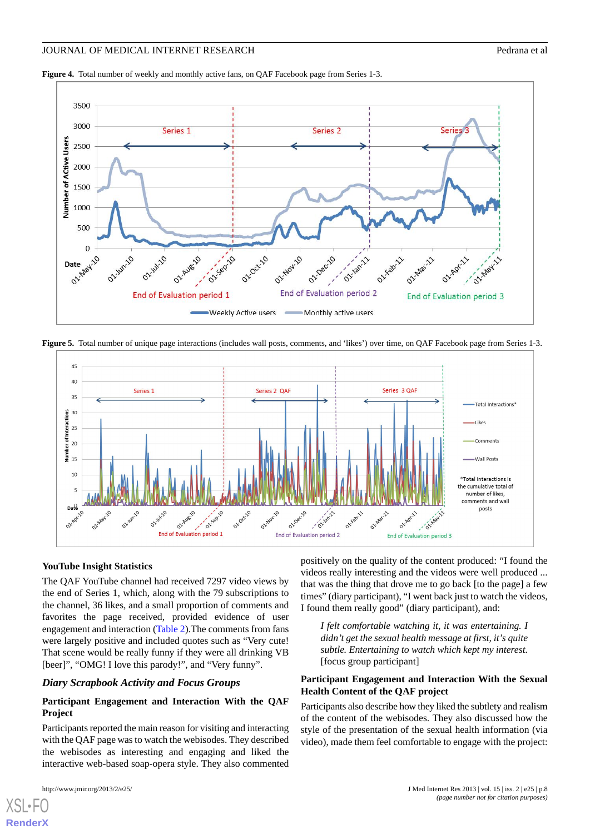**Figure 4.** Total number of weekly and monthly active fans, on QAF Facebook page from Series 1-3.



**Figure 5.** Total number of unique page interactions (includes wall posts, comments, and 'likes') over time, on QAF Facebook page from Series 1-3.



#### **YouTube Insight Statistics**

The QAF YouTube channel had received 7297 video views by the end of Series 1, which, along with the 79 subscriptions to the channel, 36 likes, and a small proportion of comments and favorites the page received, provided evidence of user engagement and interaction (Table 2).The comments from fans were largely positive and included quotes such as "Very cute! That scene would be really funny if they were all drinking VB [beer]", "OMG! I love this parody!", and "Very funny".

#### *Diary Scrapbook Activity and Focus Groups*

## **Participant Engagement and Interaction With the QAF Project**

Participants reported the main reason for visiting and interacting with the QAF page was to watch the webisodes. They described the webisodes as interesting and engaging and liked the interactive web-based soap-opera style. They also commented

[XSL](http://www.w3.org/Style/XSL)•FO **[RenderX](http://www.renderx.com/)**

positively on the quality of the content produced: "I found the videos really interesting and the videos were well produced ... that was the thing that drove me to go back [to the page] a few times" (diary participant), "I went back just to watch the videos, I found them really good" (diary participant), and:

*I felt comfortable watching it, it was entertaining. I didn't get the sexual health message at first, it's quite subtle. Entertaining to watch which kept my interest.* [focus group participant]

## **Participant Engagement and Interaction With the Sexual Health Content of the QAF project**

Participants also describe how they liked the subtlety and realism of the content of the webisodes. They also discussed how the style of the presentation of the sexual health information (via video), made them feel comfortable to engage with the project: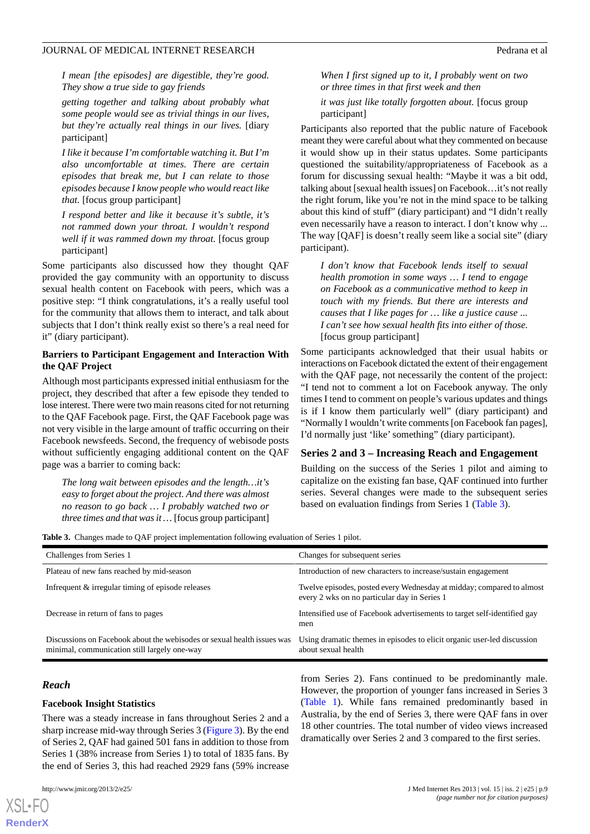*I mean [the episodes] are digestible, they're good. They show a true side to gay friends*

*getting together and talking about probably what some people would see as trivial things in our lives, but they're actually real things in our lives.* [diary participant]

*I like it because I'm comfortable watching it. But I'm also uncomfortable at times. There are certain episodes that break me, but I can relate to those episodes because I know people who would react like that.* [focus group participant]

*I respond better and like it because it's subtle, it's not rammed down your throat. I wouldn't respond well if it was rammed down my throat.* [focus group participant]

Some participants also discussed how they thought QAF provided the gay community with an opportunity to discuss sexual health content on Facebook with peers, which was a positive step: "I think congratulations, it's a really useful tool for the community that allows them to interact, and talk about subjects that I don't think really exist so there's a real need for it" (diary participant).

## **Barriers to Participant Engagement and Interaction With the QAF Project**

Although most participants expressed initial enthusiasm for the project, they described that after a few episode they tended to lose interest. There were two main reasons cited for not returning to the QAF Facebook page. First, the QAF Facebook page was not very visible in the large amount of traffic occurring on their Facebook newsfeeds. Second, the frequency of webisode posts without sufficiently engaging additional content on the QAF page was a barrier to coming back:

*The long wait between episodes and the length…it's easy to forget about the project. And there was almost no reason to go back … I probably watched two or three times and that was it …* [focus group participant]

*When I first signed up to it, I probably went on two or three times in that first week and then*

*it was just like totally forgotten about.* [focus group participant]

Participants also reported that the public nature of Facebook meant they were careful about what they commented on because it would show up in their status updates. Some participants questioned the suitability/appropriateness of Facebook as a forum for discussing sexual health: "Maybe it was a bit odd, talking about [sexual health issues] on Facebook…it's not really the right forum, like you're not in the mind space to be talking about this kind of stuff" (diary participant) and "I didn't really even necessarily have a reason to interact. I don't know why ... The way [QAF] is doesn't really seem like a social site" (diary participant).

*I don't know that Facebook lends itself to sexual health promotion in some ways … I tend to engage on Facebook as a communicative method to keep in touch with my friends. But there are interests and causes that I like pages for … like a justice cause ... I can't see how sexual health fits into either of those.* [focus group participant]

Some participants acknowledged that their usual habits or interactions on Facebook dictated the extent of their engagement with the QAF page, not necessarily the content of the project: "I tend not to comment a lot on Facebook anyway. The only times I tend to comment on people's various updates and things is if I know them particularly well" (diary participant) and "Normally I wouldn't write comments [on Facebook fan pages], I'd normally just 'like' something" (diary participant).

## **Series 2 and 3 – Increasing Reach and Engagement**

Building on the success of the Series 1 pilot and aiming to capitalize on the existing fan base, QAF continued into further series. Several changes were made to the subsequent series based on evaluation findings from Series 1 (Table 3).

**Table 3.** Changes made to QAF project implementation following evaluation of Series 1 pilot.

| Challenges from Series 1                                                                                                | Changes for subsequent series                                                                                         |
|-------------------------------------------------------------------------------------------------------------------------|-----------------------------------------------------------------------------------------------------------------------|
| Plateau of new fans reached by mid-season                                                                               | Introduction of new characters to increase/sustain engagement                                                         |
| Infrequent & irregular timing of episode releases                                                                       | Twelve episodes, posted every Wednesday at midday; compared to almost<br>every 2 wks on no particular day in Series 1 |
| Decrease in return of fans to pages                                                                                     | Intensified use of Facebook advertisements to target self-identified gay<br>men                                       |
| Discussions on Facebook about the webisodes or sexual health issues was<br>minimal, communication still largely one-way | Using dramatic themes in episodes to elicit organic user-led discussion<br>about sexual health                        |

#### *Reach*

[XSL](http://www.w3.org/Style/XSL)•FO **[RenderX](http://www.renderx.com/)**

#### **Facebook Insight Statistics**

There was a steady increase in fans throughout Series 2 and a sharp increase mid-way through Series 3 (Figure 3). By the end of Series 2, QAF had gained 501 fans in addition to those from Series 1 (38% increase from Series 1) to total of 1835 fans. By the end of Series 3, this had reached 2929 fans (59% increase

from Series 2). Fans continued to be predominantly male. However, the proportion of younger fans increased in Series 3 (Table 1). While fans remained predominantly based in Australia, by the end of Series 3, there were QAF fans in over 18 other countries. The total number of video views increased dramatically over Series 2 and 3 compared to the first series.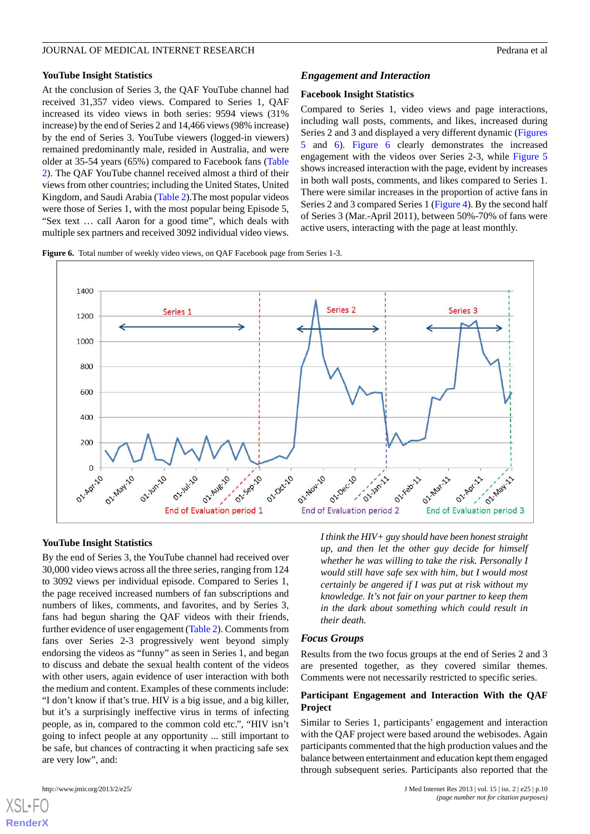#### **YouTube Insight Statistics**

At the conclusion of Series 3, the QAF YouTube channel had received 31,357 video views. Compared to Series 1, QAF increased its video views in both series: 9594 views (31% increase) by the end of Series 2 and 14,466 views (98% increase) by the end of Series 3. YouTube viewers (logged-in viewers) remained predominantly male, resided in Australia, and were older at 35-54 years (65%) compared to Facebook fans (Table 2). The QAF YouTube channel received almost a third of their views from other countries; including the United States, United Kingdom, and Saudi Arabia (Table 2).The most popular videos were those of Series 1, with the most popular being Episode 5, "Sex text … call Aaron for a good time", which deals with multiple sex partners and received 3092 individual video views.

#### *Engagement and Interaction*

#### **Facebook Insight Statistics**

Compared to Series 1, video views and page interactions, including wall posts, comments, and likes, increased during Series 2 and 3 and displayed a very different dynamic (Figures 5 and 6). Figure 6 clearly demonstrates the increased engagement with the videos over Series 2-3, while Figure 5 shows increased interaction with the page, evident by increases in both wall posts, comments, and likes compared to Series 1. There were similar increases in the proportion of active fans in Series 2 and 3 compared Series 1 (Figure 4). By the second half of Series 3 (Mar.-April 2011), between 50%-70% of fans were active users, interacting with the page at least monthly.





#### **YouTube Insight Statistics**

By the end of Series 3, the YouTube channel had received over 30,000 video views across all the three series, ranging from 124 to 3092 views per individual episode. Compared to Series 1, the page received increased numbers of fan subscriptions and numbers of likes, comments, and favorites, and by Series 3, fans had begun sharing the QAF videos with their friends, further evidence of user engagement (Table 2). Comments from fans over Series 2-3 progressively went beyond simply endorsing the videos as "funny" as seen in Series 1, and began to discuss and debate the sexual health content of the videos with other users, again evidence of user interaction with both the medium and content. Examples of these comments include: "I don't know if that's true. HIV is a big issue, and a big killer, but it's a surprisingly ineffective virus in terms of infecting people, as in, compared to the common cold etc.", "HIV isn't going to infect people at any opportunity ... still important to be safe, but chances of contracting it when practicing safe sex are very low", and:

*I think the HIV+ guy should have been honest straight up, and then let the other guy decide for himself whether he was willing to take the risk. Personally I would still have safe sex with him, but I would most certainly be angered if I was put at risk without my knowledge. It's not fair on your partner to keep them in the dark about something which could result in their death.*

#### *Focus Groups*

Results from the two focus groups at the end of Series 2 and 3 are presented together, as they covered similar themes. Comments were not necessarily restricted to specific series.

#### **Participant Engagement and Interaction With the QAF Project**

Similar to Series 1, participants' engagement and interaction with the QAF project were based around the webisodes. Again participants commented that the high production values and the balance between entertainment and education kept them engaged through subsequent series. Participants also reported that the

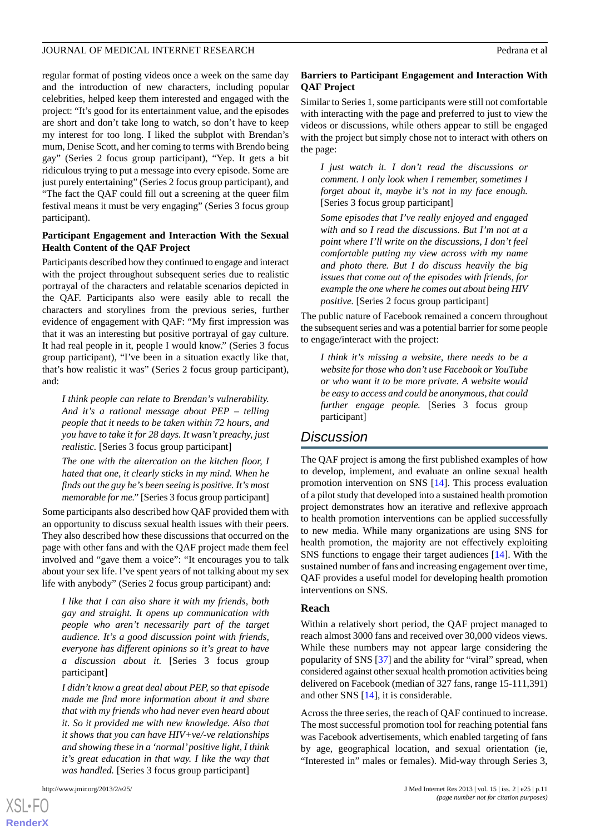regular format of posting videos once a week on the same day and the introduction of new characters, including popular celebrities, helped keep them interested and engaged with the project: "It's good for its entertainment value, and the episodes are short and don't take long to watch, so don't have to keep my interest for too long. I liked the subplot with Brendan's mum, Denise Scott, and her coming to terms with Brendo being gay" (Series 2 focus group participant), "Yep. It gets a bit ridiculous trying to put a message into every episode. Some are just purely entertaining" (Series 2 focus group participant), and "The fact the QAF could fill out a screening at the queer film festival means it must be very engaging" (Series 3 focus group participant).

#### **Participant Engagement and Interaction With the Sexual Health Content of the QAF Project**

Participants described how they continued to engage and interact with the project throughout subsequent series due to realistic portrayal of the characters and relatable scenarios depicted in the QAF. Participants also were easily able to recall the characters and storylines from the previous series, further evidence of engagement with QAF: "My first impression was that it was an interesting but positive portrayal of gay culture. It had real people in it, people I would know." (Series 3 focus group participant), "I've been in a situation exactly like that, that's how realistic it was" (Series 2 focus group participant), and:

*I think people can relate to Brendan's vulnerability. And it's a rational message about PEP – telling people that it needs to be taken within 72 hours, and you have to take it for 28 days. It wasn't preachy, just realistic.* [Series 3 focus group participant]

*The one with the altercation on the kitchen floor, I hated that one, it clearly sticks in my mind. When he finds out the guy he's been seeing is positive. It's most memorable for me.*" [Series 3 focus group participant]

Some participants also described how QAF provided them with an opportunity to discuss sexual health issues with their peers. They also described how these discussions that occurred on the page with other fans and with the QAF project made them feel involved and "gave them a voice": "It encourages you to talk about your sex life. I've spent years of not talking about my sex life with anybody" (Series 2 focus group participant) and:

*I like that I can also share it with my friends, both gay and straight. It opens up communication with people who aren't necessarily part of the target audience. It's a good discussion point with friends, everyone has different opinions so it's great to have a discussion about it.* [Series 3 focus group participant]

*I didn't know a great deal about PEP, so that episode made me find more information about it and share that with my friends who had never even heard about it. So it provided me with new knowledge. Also that it shows that you can have HIV+ve/-ve relationships and showing these in a 'normal'positive light, I think it's great education in that way. I like the way that was handled.* [Series 3 focus group participant]

## **Barriers to Participant Engagement and Interaction With QAF Project**

Similar to Series 1, some participants were still not comfortable with interacting with the page and preferred to just to view the videos or discussions, while others appear to still be engaged with the project but simply chose not to interact with others on the page:

*I just watch it. I don't read the discussions or comment. I only look when I remember, sometimes I forget about it, maybe it's not in my face enough.* [Series 3 focus group participant]

*Some episodes that I've really enjoyed and engaged with and so I read the discussions. But I'm not at a point where I'll write on the discussions, I don't feel comfortable putting my view across with my name and photo there. But I do discuss heavily the big issues that come out of the episodes with friends, for example the one where he comes out about being HIV positive.* [Series 2 focus group participant]

The public nature of Facebook remained a concern throughout the subsequent series and was a potential barrier for some people to engage/interact with the project:

*I think it's missing a website, there needs to be a website for those who don't use Facebook or YouTube or who want it to be more private. A website would be easy to access and could be anonymous, that could further engage people.* [Series 3 focus group participant]

# *Discussion*

The QAF project is among the first published examples of how to develop, implement, and evaluate an online sexual health promotion intervention on SNS [\[14](#page-13-3)]. This process evaluation of a pilot study that developed into a sustained health promotion project demonstrates how an iterative and reflexive approach to health promotion interventions can be applied successfully to new media. While many organizations are using SNS for health promotion, the majority are not effectively exploiting SNS functions to engage their target audiences [\[14](#page-13-3)]. With the sustained number of fans and increasing engagement over time, QAF provides a useful model for developing health promotion interventions on SNS.

## **Reach**

Within a relatively short period, the QAF project managed to reach almost 3000 fans and received over 30,000 videos views. While these numbers may not appear large considering the popularity of SNS [[37\]](#page-14-3) and the ability for "viral" spread, when considered against other sexual health promotion activities being delivered on Facebook (median of 327 fans, range 15-111,391) and other SNS [[14\]](#page-13-3), it is considerable.

Across the three series, the reach of QAF continued to increase. The most successful promotion tool for reaching potential fans was Facebook advertisements, which enabled targeting of fans by age, geographical location, and sexual orientation (ie, "Interested in" males or females). Mid-way through Series 3,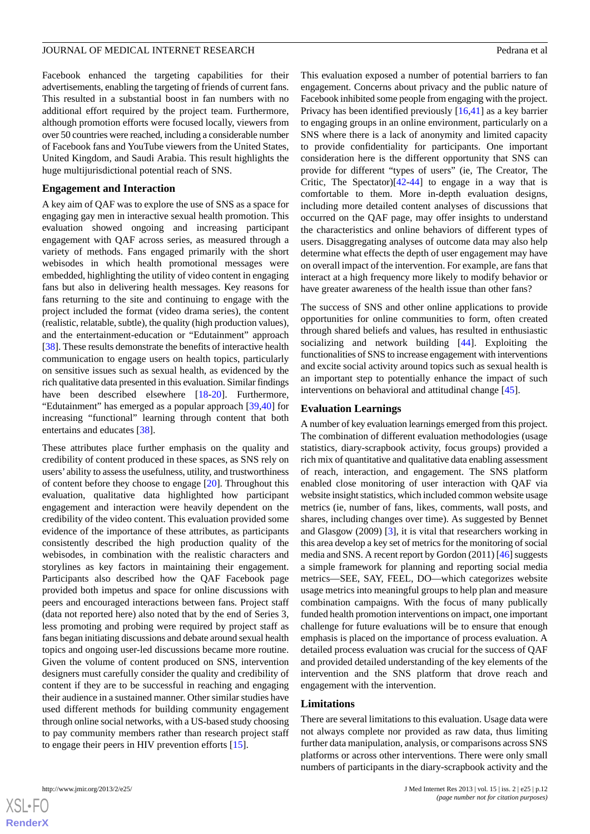#### JOURNAL OF MEDICAL INTERNET RESEARCH **For a state of the state of the state of the state of the state of the state of the state of the state of the state of the state of the state of the state of the state of the state of**

Facebook enhanced the targeting capabilities for their advertisements, enabling the targeting of friends of current fans. This resulted in a substantial boost in fan numbers with no additional effort required by the project team. Furthermore, although promotion efforts were focused locally, viewers from over 50 countries were reached, including a considerable number of Facebook fans and YouTube viewers from the United States, United Kingdom, and Saudi Arabia. This result highlights the huge multijurisdictional potential reach of SNS.

#### **Engagement and Interaction**

A key aim of QAF was to explore the use of SNS as a space for engaging gay men in interactive sexual health promotion. This evaluation showed ongoing and increasing participant engagement with QAF across series, as measured through a variety of methods. Fans engaged primarily with the short webisodes in which health promotional messages were embedded, highlighting the utility of video content in engaging fans but also in delivering health messages. Key reasons for fans returning to the site and continuing to engage with the project included the format (video drama series), the content (realistic, relatable, subtle), the quality (high production values), and the entertainment-education or "Edutainment" approach [[38\]](#page-14-4). These results demonstrate the benefits of interactive health communication to engage users on health topics, particularly on sensitive issues such as sexual health, as evidenced by the rich qualitative data presented in this evaluation. Similar findings have been described elsewhere [\[18](#page-13-7)-[20\]](#page-13-9). Furthermore, "Edutainment" has emerged as a popular approach [[39,](#page-14-5)[40](#page-14-6)] for increasing "functional" learning through content that both entertains and educates [\[38](#page-14-4)].

These attributes place further emphasis on the quality and credibility of content produced in these spaces, as SNS rely on users' ability to assess the usefulness, utility, and trustworthiness of content before they choose to engage [[20\]](#page-13-9). Throughout this evaluation, qualitative data highlighted how participant engagement and interaction were heavily dependent on the credibility of the video content. This evaluation provided some evidence of the importance of these attributes, as participants consistently described the high production quality of the webisodes, in combination with the realistic characters and storylines as key factors in maintaining their engagement. Participants also described how the QAF Facebook page provided both impetus and space for online discussions with peers and encouraged interactions between fans. Project staff (data not reported here) also noted that by the end of Series 3, less promoting and probing were required by project staff as fans began initiating discussions and debate around sexual health topics and ongoing user-led discussions became more routine. Given the volume of content produced on SNS, intervention designers must carefully consider the quality and credibility of content if they are to be successful in reaching and engaging their audience in a sustained manner. Other similar studies have used different methods for building community engagement through online social networks, with a US-based study choosing to pay community members rather than research project staff to engage their peers in HIV prevention efforts [\[15](#page-13-4)].

This evaluation exposed a number of potential barriers to fan engagement. Concerns about privacy and the public nature of Facebook inhibited some people from engaging with the project. Privacy has been identified previously [[16,](#page-13-5)[41](#page-14-7)] as a key barrier to engaging groups in an online environment, particularly on a SNS where there is a lack of anonymity and limited capacity to provide confidentiality for participants. One important consideration here is the different opportunity that SNS can provide for different "types of users" (ie, The Creator, The Critic, The Spectator) $[42-44]$  $[42-44]$  $[42-44]$  to engage in a way that is comfortable to them. More in-depth evaluation designs, including more detailed content analyses of discussions that occurred on the QAF page, may offer insights to understand the characteristics and online behaviors of different types of users. Disaggregating analyses of outcome data may also help determine what effects the depth of user engagement may have on overall impact of the intervention. For example, are fans that interact at a high frequency more likely to modify behavior or have greater awareness of the health issue than other fans?

The success of SNS and other online applications to provide opportunities for online communities to form, often created through shared beliefs and values, has resulted in enthusiastic socializing and network building [\[44](#page-14-9)]. Exploiting the functionalities of SNS to increase engagement with interventions and excite social activity around topics such as sexual health is an important step to potentially enhance the impact of such interventions on behavioral and attitudinal change [\[45](#page-14-10)].

## **Evaluation Learnings**

A number of key evaluation learnings emerged from this project. The combination of different evaluation methodologies (usage statistics, diary-scrapbook activity, focus groups) provided a rich mix of quantitative and qualitative data enabling assessment of reach, interaction, and engagement. The SNS platform enabled close monitoring of user interaction with QAF via website insight statistics, which included common website usage metrics (ie, number of fans, likes, comments, wall posts, and shares, including changes over time). As suggested by Bennet and Glasgow (2009) [[3\]](#page-12-1), it is vital that researchers working in this area develop a key set of metrics for the monitoring of social media and SNS. A recent report by Gordon (2011) [\[46](#page-14-11)] suggests a simple framework for planning and reporting social media metrics—SEE, SAY, FEEL, DO—which categorizes website usage metrics into meaningful groups to help plan and measure combination campaigns. With the focus of many publically funded health promotion interventions on impact, one important challenge for future evaluations will be to ensure that enough emphasis is placed on the importance of process evaluation. A detailed process evaluation was crucial for the success of QAF and provided detailed understanding of the key elements of the intervention and the SNS platform that drove reach and engagement with the intervention.

## **Limitations**

There are several limitations to this evaluation. Usage data were not always complete nor provided as raw data, thus limiting further data manipulation, analysis, or comparisons across SNS platforms or across other interventions. There were only small numbers of participants in the diary-scrapbook activity and the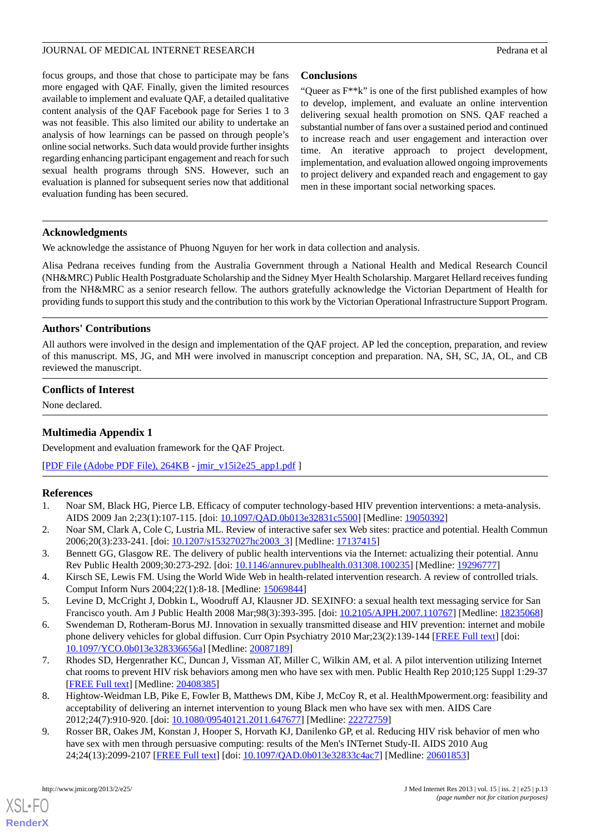focus groups, and those that chose to participate may be fans more engaged with QAF. Finally, given the limited resources available to implement and evaluate QAF, a detailed qualitative content analysis of the QAF Facebook page for Series 1 to 3 was not feasible. This also limited our ability to undertake an analysis of how learnings can be passed on through people's online social networks. Such data would provide further insights regarding enhancing participant engagement and reach for such sexual health programs through SNS. However, such an evaluation is planned for subsequent series now that additional evaluation funding has been secured.

## **Conclusions**

"Queer as F\*\*k" is one of the first published examples of how to develop, implement, and evaluate an online intervention delivering sexual health promotion on SNS. QAF reached a substantial number of fans over a sustained period and continued to increase reach and user engagement and interaction over time. An iterative approach to project development, implementation, and evaluation allowed ongoing improvements to project delivery and expanded reach and engagement to gay men in these important social networking spaces.

## **Acknowledgments**

We acknowledge the assistance of Phuong Nguyen for her work in data collection and analysis.

Alisa Pedrana receives funding from the Australia Government through a National Health and Medical Research Council (NH&MRC) Public Health Postgraduate Scholarship and the Sidney Myer Health Scholarship. Margaret Hellard receives funding from the NH&MRC as a senior research fellow. The authors gratefully acknowledge the Victorian Department of Health for providing funds to support this study and the contribution to this work by the Victorian Operational Infrastructure Support Program.

## **Authors' Contributions**

All authors were involved in the design and implementation of the QAF project. AP led the conception, preparation, and review of this manuscript. MS, JG, and MH were involved in manuscript conception and preparation. NA, SH, SC, JA, OL, and CB reviewed the manuscript.

## **Conflicts of Interest**

None declared.

## **Multimedia Appendix 1**

<span id="page-12-0"></span>Development and evaluation framework for the QAF Project.

[[PDF File \(Adobe PDF File\), 264KB](http://www.jmir.org/article/downloadSuppFile/2334/6808) - [jmir\\_v15i2e25\\_app1.pdf](http://www.jmir.org/article/downloadSuppFile/2334/6808) ]

## <span id="page-12-1"></span>**References**

- 1. Noar SM, Black HG, Pierce LB. Efficacy of computer technology-based HIV prevention interventions: a meta-analysis. AIDS 2009 Jan 2;23(1):107-115. [doi: [10.1097/QAD.0b013e32831c5500\]](http://dx.doi.org/10.1097/QAD.0b013e32831c5500) [Medline: [19050392\]](http://www.ncbi.nlm.nih.gov/entrez/query.fcgi?cmd=Retrieve&db=PubMed&list_uids=19050392&dopt=Abstract)
- <span id="page-12-2"></span>2. Noar SM, Clark A, Cole C, Lustria ML. Review of interactive safer sex Web sites: practice and potential. Health Commun 2006;20(3):233-241. [doi: [10.1207/s15327027hc2003\\_3](http://dx.doi.org/10.1207/s15327027hc2003_3)] [Medline: [17137415\]](http://www.ncbi.nlm.nih.gov/entrez/query.fcgi?cmd=Retrieve&db=PubMed&list_uids=17137415&dopt=Abstract)
- <span id="page-12-3"></span>3. Bennett GG, Glasgow RE. The delivery of public health interventions via the Internet: actualizing their potential. Annu Rev Public Health 2009;30:273-292. [doi: [10.1146/annurev.publhealth.031308.100235\]](http://dx.doi.org/10.1146/annurev.publhealth.031308.100235) [Medline: [19296777\]](http://www.ncbi.nlm.nih.gov/entrez/query.fcgi?cmd=Retrieve&db=PubMed&list_uids=19296777&dopt=Abstract)
- 4. Kirsch SE, Lewis FM. Using the World Wide Web in health-related intervention research. A review of controlled trials. Comput Inform Nurs 2004;22(1):8-18. [Medline: [15069844\]](http://www.ncbi.nlm.nih.gov/entrez/query.fcgi?cmd=Retrieve&db=PubMed&list_uids=15069844&dopt=Abstract)
- <span id="page-12-4"></span>5. Levine D, McCright J, Dobkin L, Woodruff AJ, Klausner JD. SEXINFO: a sexual health text messaging service for San Francisco youth. Am J Public Health 2008 Mar;98(3):393-395. [doi: [10.2105/AJPH.2007.110767](http://dx.doi.org/10.2105/AJPH.2007.110767)] [Medline: [18235068\]](http://www.ncbi.nlm.nih.gov/entrez/query.fcgi?cmd=Retrieve&db=PubMed&list_uids=18235068&dopt=Abstract)
- 6. Swendeman D, Rotheram-Borus MJ. Innovation in sexually transmitted disease and HIV prevention: internet and mobile phone delivery vehicles for global diffusion. Curr Opin Psychiatry 2010 Mar;23(2):139-144 [[FREE Full text\]](http://europepmc.org/abstract/MED/20087189) [doi: [10.1097/YCO.0b013e328336656a](http://dx.doi.org/10.1097/YCO.0b013e328336656a)] [Medline: [20087189](http://www.ncbi.nlm.nih.gov/entrez/query.fcgi?cmd=Retrieve&db=PubMed&list_uids=20087189&dopt=Abstract)]
- <span id="page-12-5"></span>7. Rhodes SD, Hergenrather KC, Duncan J, Vissman AT, Miller C, Wilkin AM, et al. A pilot intervention utilizing Internet chat rooms to prevent HIV risk behaviors among men who have sex with men. Public Health Rep 2010;125 Suppl 1:29-37 [[FREE Full text](http://europepmc.org/abstract/MED/20408385)] [Medline: [20408385](http://www.ncbi.nlm.nih.gov/entrez/query.fcgi?cmd=Retrieve&db=PubMed&list_uids=20408385&dopt=Abstract)]
- 8. Hightow-Weidman LB, Pike E, Fowler B, Matthews DM, Kibe J, McCoy R, et al. HealthMpowerment.org: feasibility and acceptability of delivering an internet intervention to young Black men who have sex with men. AIDS Care 2012;24(7):910-920. [doi: [10.1080/09540121.2011.647677\]](http://dx.doi.org/10.1080/09540121.2011.647677) [Medline: [22272759\]](http://www.ncbi.nlm.nih.gov/entrez/query.fcgi?cmd=Retrieve&db=PubMed&list_uids=22272759&dopt=Abstract)
- 9. Rosser BR, Oakes JM, Konstan J, Hooper S, Horvath KJ, Danilenko GP, et al. Reducing HIV risk behavior of men who have sex with men through persuasive computing: results of the Men's INTernet Study-II. AIDS 2010 Aug 24;24(13):2099-2107 [[FREE Full text](http://europepmc.org/abstract/MED/20601853)] [doi: [10.1097/QAD.0b013e32833c4ac7\]](http://dx.doi.org/10.1097/QAD.0b013e32833c4ac7) [Medline: [20601853](http://www.ncbi.nlm.nih.gov/entrez/query.fcgi?cmd=Retrieve&db=PubMed&list_uids=20601853&dopt=Abstract)]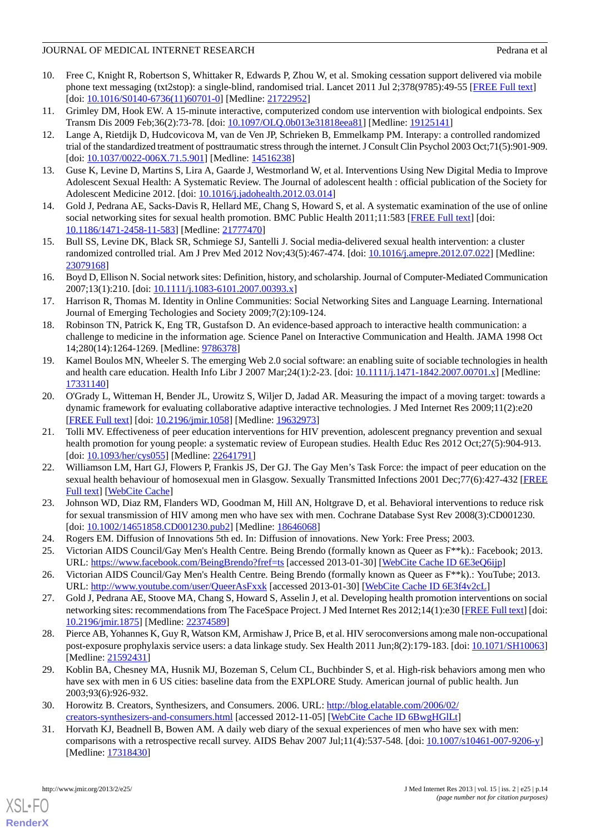## JOURNAL OF MEDICAL INTERNET RESEARCH **Pedrana et al.** Pedrana et al.

- <span id="page-13-0"></span>10. Free C, Knight R, Robertson S, Whittaker R, Edwards P, Zhou W, et al. Smoking cessation support delivered via mobile phone text messaging (txt2stop): a single-blind, randomised trial. Lancet 2011 Jul 2;378(9785):49-55 [[FREE Full text\]](http://europepmc.org/abstract/MED/21722952) [doi: [10.1016/S0140-6736\(11\)60701-0](http://dx.doi.org/10.1016/S0140-6736(11)60701-0)] [Medline: [21722952\]](http://www.ncbi.nlm.nih.gov/entrez/query.fcgi?cmd=Retrieve&db=PubMed&list_uids=21722952&dopt=Abstract)
- <span id="page-13-1"></span>11. Grimley DM, Hook EW. A 15-minute interactive, computerized condom use intervention with biological endpoints. Sex Transm Dis 2009 Feb;36(2):73-78. [doi: [10.1097/OLQ.0b013e31818eea81](http://dx.doi.org/10.1097/OLQ.0b013e31818eea81)] [Medline: [19125141\]](http://www.ncbi.nlm.nih.gov/entrez/query.fcgi?cmd=Retrieve&db=PubMed&list_uids=19125141&dopt=Abstract)
- 12. Lange A, Rietdijk D, Hudcovicova M, van de Ven JP, Schrieken B, Emmelkamp PM. Interapy: a controlled randomized trial of the standardized treatment of posttraumatic stress through the internet. J Consult Clin Psychol 2003 Oct;71(5):901-909. [doi: [10.1037/0022-006X.71.5.901](http://dx.doi.org/10.1037/0022-006X.71.5.901)] [Medline: [14516238](http://www.ncbi.nlm.nih.gov/entrez/query.fcgi?cmd=Retrieve&db=PubMed&list_uids=14516238&dopt=Abstract)]
- <span id="page-13-3"></span><span id="page-13-2"></span>13. Guse K, Levine D, Martins S, Lira A, Gaarde J, Westmorland W, et al. Interventions Using New Digital Media to Improve Adolescent Sexual Health: A Systematic Review. The Journal of adolescent health : official publication of the Society for Adolescent Medicine 2012. [doi: [10.1016/j.jadohealth.2012.03.014](http://dx.doi.org/10.1016/j.jadohealth.2012.03.014)]
- <span id="page-13-4"></span>14. Gold J, Pedrana AE, Sacks-Davis R, Hellard ME, Chang S, Howard S, et al. A systematic examination of the use of online social networking sites for sexual health promotion. BMC Public Health 2011;11:583 [[FREE Full text](http://www.biomedcentral.com/1471-2458/11/583)] [doi: [10.1186/1471-2458-11-583\]](http://dx.doi.org/10.1186/1471-2458-11-583) [Medline: [21777470\]](http://www.ncbi.nlm.nih.gov/entrez/query.fcgi?cmd=Retrieve&db=PubMed&list_uids=21777470&dopt=Abstract)
- <span id="page-13-5"></span>15. Bull SS, Levine DK, Black SR, Schmiege SJ, Santelli J. Social media-delivered sexual health intervention: a cluster randomized controlled trial. Am J Prev Med 2012 Nov;43(5):467-474. [doi: [10.1016/j.amepre.2012.07.022\]](http://dx.doi.org/10.1016/j.amepre.2012.07.022) [Medline: [23079168](http://www.ncbi.nlm.nih.gov/entrez/query.fcgi?cmd=Retrieve&db=PubMed&list_uids=23079168&dopt=Abstract)]
- <span id="page-13-6"></span>16. Boyd D, Ellison N. Social network sites: Definition, history, and scholarship. Journal of Computer-Mediated Communication 2007;13(1):210. [doi: [10.1111/j.1083-6101.2007.00393.x](http://dx.doi.org/10.1111/j.1083-6101.2007.00393.x)]
- <span id="page-13-7"></span>17. Harrison R, Thomas M. Identity in Online Communities: Social Networking Sites and Language Learning. International Journal of Emerging Techologies and Society 2009;7(2):109-124.
- <span id="page-13-8"></span>18. Robinson TN, Patrick K, Eng TR, Gustafson D. An evidence-based approach to interactive health communication: a challenge to medicine in the information age. Science Panel on Interactive Communication and Health. JAMA 1998 Oct 14;280(14):1264-1269. [Medline: [9786378](http://www.ncbi.nlm.nih.gov/entrez/query.fcgi?cmd=Retrieve&db=PubMed&list_uids=9786378&dopt=Abstract)]
- <span id="page-13-9"></span>19. Kamel Boulos MN, Wheeler S. The emerging Web 2.0 social software: an enabling suite of sociable technologies in health and health care education. Health Info Libr J 2007 Mar;24(1):2-23. [doi: [10.1111/j.1471-1842.2007.00701.x](http://dx.doi.org/10.1111/j.1471-1842.2007.00701.x)] [Medline: [17331140](http://www.ncbi.nlm.nih.gov/entrez/query.fcgi?cmd=Retrieve&db=PubMed&list_uids=17331140&dopt=Abstract)]
- <span id="page-13-10"></span>20. O'Grady L, Witteman H, Bender JL, Urowitz S, Wiljer D, Jadad AR. Measuring the impact of a moving target: towards a dynamic framework for evaluating collaborative adaptive interactive technologies. J Med Internet Res 2009;11(2):e20 [[FREE Full text](http://www.jmir.org/2009/2/e20/)] [doi: [10.2196/jmir.1058](http://dx.doi.org/10.2196/jmir.1058)] [Medline: [19632973](http://www.ncbi.nlm.nih.gov/entrez/query.fcgi?cmd=Retrieve&db=PubMed&list_uids=19632973&dopt=Abstract)]
- 21. Tolli MV. Effectiveness of peer education interventions for HIV prevention, adolescent pregnancy prevention and sexual health promotion for young people: a systematic review of European studies. Health Educ Res 2012 Oct;27(5):904-913. [doi: [10.1093/her/cys055\]](http://dx.doi.org/10.1093/her/cys055) [Medline: [22641791\]](http://www.ncbi.nlm.nih.gov/entrez/query.fcgi?cmd=Retrieve&db=PubMed&list_uids=22641791&dopt=Abstract)
- <span id="page-13-11"></span>22. Williamson LM, Hart GJ, Flowers P, Frankis JS, Der GJ. The Gay Men's Task Force: the impact of peer education on the sexual health behaviour of homosexual men in Glasgow. Sexually Transmitted Infections 2001 Dec; 77(6): 427-432 [\[FREE](http://sti.bmj.com/content/77/6/427.full.pdf) [Full text\]](http://sti.bmj.com/content/77/6/427.full.pdf) [\[WebCite Cache](http://www.webcitation.org/query?url=http%3A%2F%2Fsti.bmj.com%2Fcontent%2F77%2F6%2F427.full.pdf&refdoi=10.2196%2Fjmir.2334)]
- <span id="page-13-14"></span><span id="page-13-13"></span><span id="page-13-12"></span>23. Johnson WD, Diaz RM, Flanders WD, Goodman M, Hill AN, Holtgrave D, et al. Behavioral interventions to reduce risk for sexual transmission of HIV among men who have sex with men. Cochrane Database Syst Rev 2008(3):CD001230. [doi: [10.1002/14651858.CD001230.pub2](http://dx.doi.org/10.1002/14651858.CD001230.pub2)] [Medline: [18646068\]](http://www.ncbi.nlm.nih.gov/entrez/query.fcgi?cmd=Retrieve&db=PubMed&list_uids=18646068&dopt=Abstract)
- <span id="page-13-15"></span>24. Rogers EM. Diffusion of Innovations 5th ed. In: Diffusion of innovations. New York: Free Press; 2003.
- 25. Victorian AIDS Council/Gay Men's Health Centre. Being Brendo (formally known as Queer as F\*\*k).: Facebook; 2013. URL: <https://www.facebook.com/BeingBrendo?fref=ts> [accessed 2013-01-30] [[WebCite Cache ID 6E3eQ6ijp\]](http://www.webcitation.org/6E3eQ6ijp)
- <span id="page-13-16"></span>26. Victorian AIDS Council/Gay Men's Health Centre. Being Brendo (formally known as Queer as F\*\*k).: YouTube; 2013. URL: <http://www.youtube.com/user/QueerAsFxxk> [accessed 2013-01-30] [[WebCite Cache ID 6E3f4v2cL](http://www.webcitation.org/6E3f4v2cL)]
- <span id="page-13-17"></span>27. Gold J, Pedrana AE, Stoove MA, Chang S, Howard S, Asselin J, et al. Developing health promotion interventions on social networking sites: recommendations from The FaceSpace Project. J Med Internet Res 2012;14(1):e30 [\[FREE Full text\]](http://www.jmir.org/2012/1/e30/) [doi: [10.2196/jmir.1875](http://dx.doi.org/10.2196/jmir.1875)] [Medline: [22374589](http://www.ncbi.nlm.nih.gov/entrez/query.fcgi?cmd=Retrieve&db=PubMed&list_uids=22374589&dopt=Abstract)]
- <span id="page-13-18"></span>28. Pierce AB, Yohannes K, Guy R, Watson KM, Armishaw J, Price B, et al. HIV seroconversions among male non-occupational post-exposure prophylaxis service users: a data linkage study. Sex Health 2011 Jun;8(2):179-183. [doi: [10.1071/SH10063](http://dx.doi.org/10.1071/SH10063)] [Medline: [21592431](http://www.ncbi.nlm.nih.gov/entrez/query.fcgi?cmd=Retrieve&db=PubMed&list_uids=21592431&dopt=Abstract)]
- <span id="page-13-19"></span>29. Koblin BA, Chesney MA, Husnik MJ, Bozeman S, Celum CL, Buchbinder S, et al. High-risk behaviors among men who have sex with men in 6 US cities: baseline data from the EXPLORE Study. American journal of public health. Jun 2003;93(6):926-932.
- 30. Horowitz B. Creators, Synthesizers, and Consumers. 2006. URL: [http://blog.elatable.com/2006/02/](http://blog.elatable.com/2006/02/creators-synthesizers-and-consumers.html) [creators-synthesizers-and-consumers.html](http://blog.elatable.com/2006/02/creators-synthesizers-and-consumers.html) [accessed 2012-11-05] [\[WebCite Cache ID 6BwgHGlLt](http://www.webcitation.org/6BwgHGlLt)]
- 31. Horvath KJ, Beadnell B, Bowen AM. A daily web diary of the sexual experiences of men who have sex with men: comparisons with a retrospective recall survey. AIDS Behav 2007 Jul;11(4):537-548. [doi: [10.1007/s10461-007-9206-y\]](http://dx.doi.org/10.1007/s10461-007-9206-y) [Medline: [17318430](http://www.ncbi.nlm.nih.gov/entrez/query.fcgi?cmd=Retrieve&db=PubMed&list_uids=17318430&dopt=Abstract)]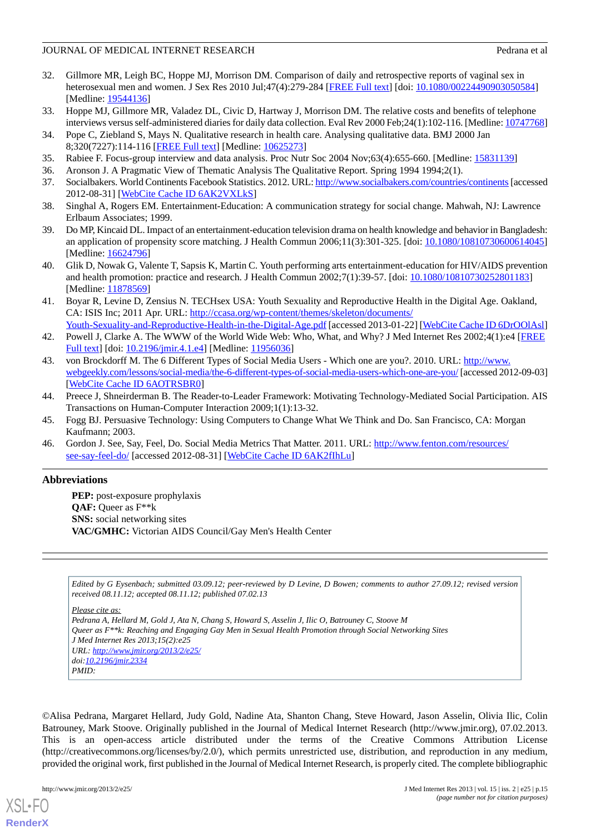## JOURNAL OF MEDICAL INTERNET RESEARCH **For a state of the state of the state of the state of the state of the state of the state of the state of the state of the state of the state of the state of the state of the state of**

- 32. Gillmore MR, Leigh BC, Hoppe MJ, Morrison DM. Comparison of daily and retrospective reports of vaginal sex in heterosexual men and women. J Sex Res 2010 Jul;47(4):279-284 [\[FREE Full text\]](http://europepmc.org/abstract/MED/19544136) [doi: [10.1080/00224490903050584](http://dx.doi.org/10.1080/00224490903050584)] [Medline: [19544136](http://www.ncbi.nlm.nih.gov/entrez/query.fcgi?cmd=Retrieve&db=PubMed&list_uids=19544136&dopt=Abstract)]
- <span id="page-14-1"></span><span id="page-14-0"></span>33. Hoppe MJ, Gillmore MR, Valadez DL, Civic D, Hartway J, Morrison DM. The relative costs and benefits of telephone interviews versus self-administered diaries for daily data collection. Eval Rev 2000 Feb;24(1):102-116. [Medline: [10747768\]](http://www.ncbi.nlm.nih.gov/entrez/query.fcgi?cmd=Retrieve&db=PubMed&list_uids=10747768&dopt=Abstract)
- 34. Pope C, Ziebland S, Mays N. Qualitative research in health care. Analysing qualitative data. BMJ 2000 Jan 8;320(7227):114-116 [[FREE Full text](http://europepmc.org/abstract/MED/10625273)] [Medline: [10625273](http://www.ncbi.nlm.nih.gov/entrez/query.fcgi?cmd=Retrieve&db=PubMed&list_uids=10625273&dopt=Abstract)]
- <span id="page-14-3"></span><span id="page-14-2"></span>35. Rabiee F. Focus-group interview and data analysis. Proc Nutr Soc 2004 Nov;63(4):655-660. [Medline: [15831139](http://www.ncbi.nlm.nih.gov/entrez/query.fcgi?cmd=Retrieve&db=PubMed&list_uids=15831139&dopt=Abstract)]
- 36. Aronson J. A Pragmatic View of Thematic Analysis The Qualitative Report. Spring 1994 1994;2(1).
- <span id="page-14-4"></span>37. Socialbakers. World Continents Facebook Statistics. 2012. URL:<http://www.socialbakers.com/countries/continents>[accessed 2012-08-31] [\[WebCite Cache ID 6AK2VXLkS\]](http://www.webcitation.org/6AK2VXLkS)
- <span id="page-14-5"></span>38. Singhal A, Rogers EM. Entertainment-Education: A communication strategy for social change. Mahwah, NJ: Lawrence Erlbaum Associates; 1999.
- <span id="page-14-6"></span>39. Do MP, Kincaid DL. Impact of an entertainment-education television drama on health knowledge and behavior in Bangladesh: an application of propensity score matching. J Health Commun 2006;11(3):301-325. [doi: [10.1080/10810730600614045](http://dx.doi.org/10.1080/10810730600614045)] [Medline: [16624796](http://www.ncbi.nlm.nih.gov/entrez/query.fcgi?cmd=Retrieve&db=PubMed&list_uids=16624796&dopt=Abstract)]
- <span id="page-14-7"></span>40. Glik D, Nowak G, Valente T, Sapsis K, Martin C. Youth performing arts entertainment-education for HIV/AIDS prevention and health promotion: practice and research. J Health Commun 2002;7(1):39-57. [doi: [10.1080/10810730252801183](http://dx.doi.org/10.1080/10810730252801183)] [Medline: [11878569](http://www.ncbi.nlm.nih.gov/entrez/query.fcgi?cmd=Retrieve&db=PubMed&list_uids=11878569&dopt=Abstract)]
- <span id="page-14-8"></span>41. Boyar R, Levine D, Zensius N. TECHsex USA: Youth Sexuality and Reproductive Health in the Digital Age. Oakland, CA: ISIS Inc; 2011 Apr. URL: [http://ccasa.org/wp-content/themes/skeleton/documents/](http://ccasa.org/wp-content/themes/skeleton/documents/Youth-Sexuality-and-Reproductive-Health-in-the-Digital-Age.pdf)
- [Youth-Sexuality-and-Reproductive-Health-in-the-Digital-Age.pdf](http://ccasa.org/wp-content/themes/skeleton/documents/Youth-Sexuality-and-Reproductive-Health-in-the-Digital-Age.pdf) [accessed 2013-01-22] [[WebCite Cache ID 6DrOOlAsl](http://www.webcitation.org/6DrOOlAsl)] 42. Powell J, Clarke A. The WWW of the World Wide Web: Who, What, and Why? J Med Internet Res 2002;4(1):e4 [[FREE](http://www.jmir.org/2002/1/e4/) [Full text\]](http://www.jmir.org/2002/1/e4/) [doi: [10.2196/jmir.4.1.e4\]](http://dx.doi.org/10.2196/jmir.4.1.e4) [Medline: [11956036](http://www.ncbi.nlm.nih.gov/entrez/query.fcgi?cmd=Retrieve&db=PubMed&list_uids=11956036&dopt=Abstract)]
- <span id="page-14-9"></span>43. von Brockdorff M. The 6 Different Types of Social Media Users - Which one are you?. 2010. URL: [http://www.](http://www.webgeekly.com/lessons/social-media/the-6-different-types-of-social-media-users-which-one-are-you/) [webgeekly.com/lessons/social-media/the-6-different-types-of-social-media-users-which-one-are-you/](http://www.webgeekly.com/lessons/social-media/the-6-different-types-of-social-media-users-which-one-are-you/) [accessed 2012-09-03] [[WebCite Cache ID 6AOTRSBR0\]](http://www.webcitation.org/6AOTRSBR0)
- <span id="page-14-11"></span><span id="page-14-10"></span>44. Preece J, Shneirderman B. The Reader-to-Leader Framework: Motivating Technology-Mediated Social Participation. AIS Transactions on Human-Computer Interaction 2009;1(1):13-32.
- 45. Fogg BJ. Persuasive Technology: Using Computers to Change What We Think and Do. San Francisco, CA: Morgan Kaufmann; 2003.
- 46. Gordon J. See, Say, Feel, Do. Social Media Metrics That Matter. 2011. URL: [http://www.fenton.com/resources/](http://www.fenton.com/resources/see-say-feel-do/) [see-say-feel-do/](http://www.fenton.com/resources/see-say-feel-do/) [accessed 2012-08-31] [[WebCite Cache ID 6AK2fIhLu](http://www.webcitation.org/6AK2fIhLu)]

## **Abbreviations**

**PEP:** post-exposure prophylaxis **QAF:** Queer as F\*\*k **SNS:** social networking sites **VAC/GMHC:** Victorian AIDS Council/Gay Men's Health Center

*Edited by G Eysenbach; submitted 03.09.12; peer-reviewed by D Levine, D Bowen; comments to author 27.09.12; revised version received 08.11.12; accepted 08.11.12; published 07.02.13*

*Please cite as: Pedrana A, Hellard M, Gold J, Ata N, Chang S, Howard S, Asselin J, Ilic O, Batrouney C, Stoove M Queer as F\*\*k: Reaching and Engaging Gay Men in Sexual Health Promotion through Social Networking Sites J Med Internet Res 2013;15(2):e25 URL: <http://www.jmir.org/2013/2/e25/> doi[:10.2196/jmir.2334](http://dx.doi.org/10.2196/jmir.2334) PMID:*

©Alisa Pedrana, Margaret Hellard, Judy Gold, Nadine Ata, Shanton Chang, Steve Howard, Jason Asselin, Olivia Ilic, Colin Batrouney, Mark Stoove. Originally published in the Journal of Medical Internet Research (http://www.jmir.org), 07.02.2013. This is an open-access article distributed under the terms of the Creative Commons Attribution License (http://creativecommons.org/licenses/by/2.0/), which permits unrestricted use, distribution, and reproduction in any medium, provided the original work, first published in the Journal of Medical Internet Research, is properly cited. The complete bibliographic